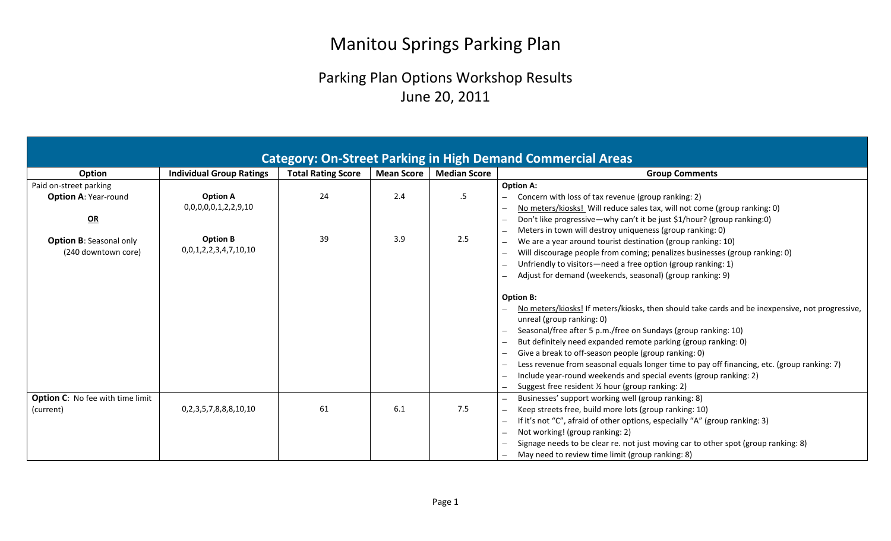## Manitou Springs Parking Plan

## Parking Plan Options Workshop Results June 20, 2011

|                                         |                                 |                           |            |                     | <b>Category: On-Street Parking in High Demand Commercial Areas</b>                               |
|-----------------------------------------|---------------------------------|---------------------------|------------|---------------------|--------------------------------------------------------------------------------------------------|
| Option                                  | <b>Individual Group Ratings</b> | <b>Total Rating Score</b> | Mean Score | <b>Median Score</b> | <b>Group Comments</b>                                                                            |
| Paid on-street parking                  |                                 |                           |            |                     | <b>Option A:</b>                                                                                 |
| <b>Option A: Year-round</b>             | <b>Option A</b>                 | 24                        | 2.4        | .5                  | Concern with loss of tax revenue (group ranking: 2)                                              |
|                                         | 0,0,0,0,0,1,2,2,9,10            |                           |            |                     | No meters/kiosks! Will reduce sales tax, will not come (group ranking: 0)                        |
| QR                                      |                                 |                           |            |                     | Don't like progressive—why can't it be just \$1/hour? (group ranking:0)                          |
|                                         | <b>Option B</b>                 | 39                        | 3.9        | 2.5                 | Meters in town will destroy uniqueness (group ranking: 0)                                        |
| <b>Option B: Seasonal only</b>          | 0,0,1,2,2,3,4,7,10,10           |                           |            |                     | We are a year around tourist destination (group ranking: 10)                                     |
| (240 downtown core)                     |                                 |                           |            |                     | Will discourage people from coming; penalizes businesses (group ranking: 0)<br>$\qquad \qquad -$ |
|                                         |                                 |                           |            |                     | Unfriendly to visitors-need a free option (group ranking: 1)<br>$\qquad \qquad =$                |
|                                         |                                 |                           |            |                     | Adjust for demand (weekends, seasonal) (group ranking: 9)                                        |
|                                         |                                 |                           |            |                     | <b>Option B:</b>                                                                                 |
|                                         |                                 |                           |            |                     | No meters/kiosks! If meters/kiosks, then should take cards and be inexpensive, not progressive,  |
|                                         |                                 |                           |            |                     | unreal (group ranking: 0)                                                                        |
|                                         |                                 |                           |            |                     | Seasonal/free after 5 p.m./free on Sundays (group ranking: 10)                                   |
|                                         |                                 |                           |            |                     | But definitely need expanded remote parking (group ranking: 0)                                   |
|                                         |                                 |                           |            |                     | Give a break to off-season people (group ranking: 0)                                             |
|                                         |                                 |                           |            |                     | Less revenue from seasonal equals longer time to pay off financing, etc. (group ranking: 7)<br>- |
|                                         |                                 |                           |            |                     | Include year-round weekends and special events (group ranking: 2)<br>$\overline{\phantom{0}}$    |
|                                         |                                 |                           |            |                     | Suggest free resident 1/2 hour (group ranking: 2)                                                |
| <b>Option C:</b> No fee with time limit |                                 |                           |            |                     | Businesses' support working well (group ranking: 8)<br>$\overline{\phantom{m}}$                  |
| (current)                               | 0,2,3,5,7,8,8,8,10,10           | 61                        | 6.1        | 7.5                 | Keep streets free, build more lots (group ranking: 10)<br>$\overline{\phantom{m}}$               |
|                                         |                                 |                           |            |                     | If it's not "C", afraid of other options, especially "A" (group ranking: 3)                      |
|                                         |                                 |                           |            |                     | Not working! (group ranking: 2)                                                                  |
|                                         |                                 |                           |            |                     | Signage needs to be clear re. not just moving car to other spot (group ranking: 8)               |
|                                         |                                 |                           |            |                     | May need to review time limit (group ranking: 8)                                                 |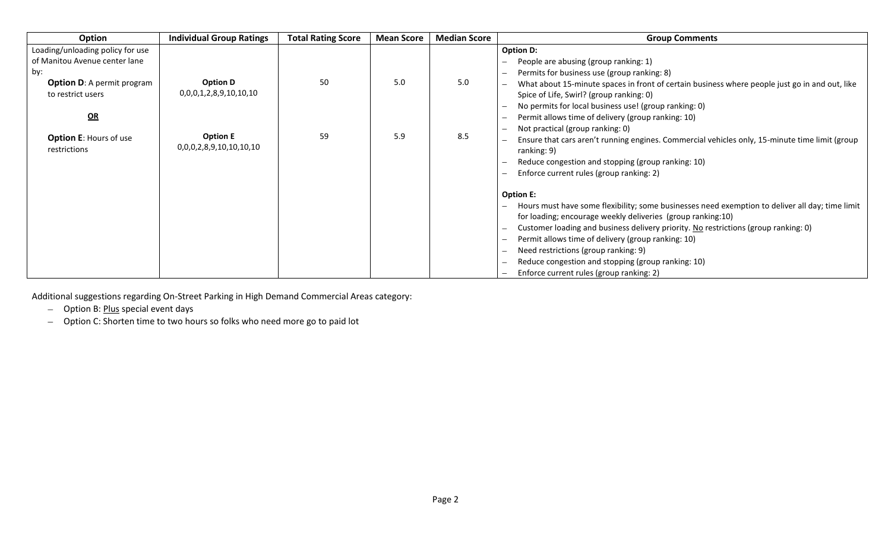| <b>Option</b>                                                            | <b>Individual Group Ratings</b>           | <b>Total Rating Score</b> | <b>Mean Score</b> | <b>Median Score</b> | <b>Group Comments</b>                                                                                                                                                                                                                            |
|--------------------------------------------------------------------------|-------------------------------------------|---------------------------|-------------------|---------------------|--------------------------------------------------------------------------------------------------------------------------------------------------------------------------------------------------------------------------------------------------|
| Loading/unloading policy for use<br>of Manitou Avenue center lane<br>by: |                                           |                           |                   |                     | <b>Option D:</b><br>People are abusing (group ranking: 1)<br>$\overline{\phantom{m}}$<br>Permits for business use (group ranking: 8)<br>$\overline{\phantom{0}}$                                                                                 |
| <b>Option D: A permit program</b><br>to restrict users                   | <b>Option D</b><br>0,0,0,1,2,8,9,10,10,10 | 50                        | 5.0               | 5.0                 | What about 15-minute spaces in front of certain business where people just go in and out, like<br>$\overline{\phantom{0}}$<br>Spice of Life, Swirl? (group ranking: 0)<br>No permits for local business use! (group ranking: 0)                  |
| $\mathbf{Q}$<br><b>Option E: Hours of use</b>                            | <b>Option E</b>                           | 59                        | 5.9               | 8.5                 | Permit allows time of delivery (group ranking: 10)<br>$\overline{\phantom{m}}$<br>Not practical (group ranking: 0)<br>$\overline{\phantom{m}}$<br>Ensure that cars aren't running engines. Commercial vehicles only, 15-minute time limit (group |
| restrictions                                                             | 0,0,0,2,8,9,10,10,10,10                   |                           |                   |                     | ranking: 9)<br>Reduce congestion and stopping (group ranking: 10)<br>$\overline{\phantom{m}}$                                                                                                                                                    |
|                                                                          |                                           |                           |                   |                     | Enforce current rules (group ranking: 2)<br>$\qquad \qquad$<br><b>Option E:</b>                                                                                                                                                                  |
|                                                                          |                                           |                           |                   |                     | Hours must have some flexibility; some businesses need exemption to deliver all day; time limit<br>$\qquad \qquad -$<br>for loading; encourage weekly deliveries (group ranking:10)                                                              |
|                                                                          |                                           |                           |                   |                     | Customer loading and business delivery priority. No restrictions (group ranking: 0)<br>$\overline{\phantom{m}}$<br>Permit allows time of delivery (group ranking: 10)<br>$\overline{\phantom{m}}$                                                |
|                                                                          |                                           |                           |                   |                     | Need restrictions (group ranking: 9)<br>$\overline{\phantom{m}}$<br>Reduce congestion and stopping (group ranking: 10)<br>$\overline{\phantom{m}}$                                                                                               |
|                                                                          |                                           |                           |                   |                     | Enforce current rules (group ranking: 2)<br>$\overline{\phantom{m}}$                                                                                                                                                                             |

Additional suggestions regarding On-Street Parking in High Demand Commercial Areas category:

- Option B: *Plus* special event days

- Option C: Shorten time to two hours so folks who need more go to paid lot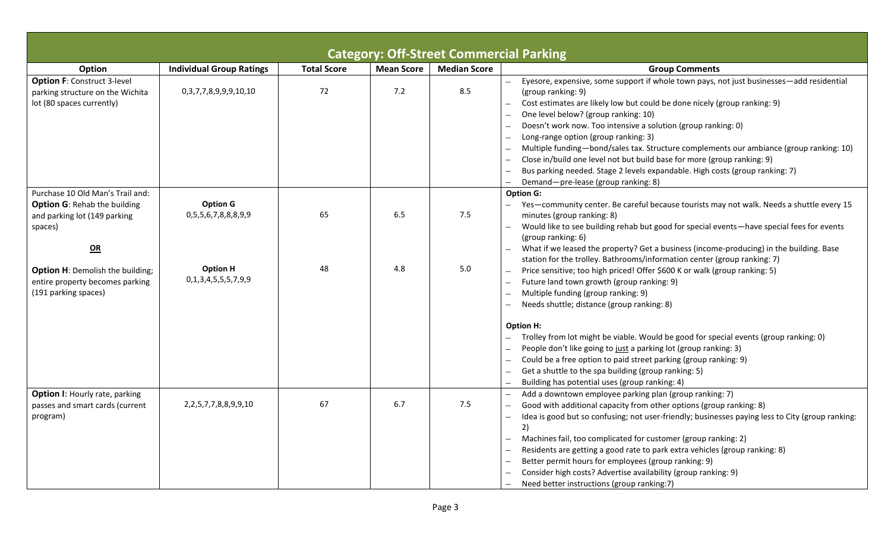|                                                                                                                                                                                                                                |                                                                                           |                    |            | <b>Category: Off-Street Commercial Parking</b> |                                                                                                                                                                                                                                                                                                                                                                                                                                                                                                                                                                                                                                                                                                                                                                                                                                                                                                                                                                                                                      |
|--------------------------------------------------------------------------------------------------------------------------------------------------------------------------------------------------------------------------------|-------------------------------------------------------------------------------------------|--------------------|------------|------------------------------------------------|----------------------------------------------------------------------------------------------------------------------------------------------------------------------------------------------------------------------------------------------------------------------------------------------------------------------------------------------------------------------------------------------------------------------------------------------------------------------------------------------------------------------------------------------------------------------------------------------------------------------------------------------------------------------------------------------------------------------------------------------------------------------------------------------------------------------------------------------------------------------------------------------------------------------------------------------------------------------------------------------------------------------|
| Option                                                                                                                                                                                                                         | <b>Individual Group Ratings</b>                                                           | <b>Total Score</b> | Mean Score | <b>Median Score</b>                            | <b>Group Comments</b>                                                                                                                                                                                                                                                                                                                                                                                                                                                                                                                                                                                                                                                                                                                                                                                                                                                                                                                                                                                                |
| <b>Option F: Construct 3-level</b><br>parking structure on the Wichita<br>lot (80 spaces currently)                                                                                                                            | 0,3,7,7,8,9,9,9,10,10                                                                     | 72                 | 7.2        | 8.5                                            | Eyesore, expensive, some support if whole town pays, not just businesses-add residential<br>(group ranking: 9)<br>Cost estimates are likely low but could be done nicely (group ranking: 9)<br>One level below? (group ranking: 10)<br>Doesn't work now. Too intensive a solution (group ranking: 0)<br>Long-range option (group ranking: 3)<br>Multiple funding-bond/sales tax. Structure complements our ambiance (group ranking: 10)<br>Close in/build one level not but build base for more (group ranking: 9)<br>Bus parking needed. Stage 2 levels expandable. High costs (group ranking: 7)<br>Demand-pre-lease (group ranking: 8)                                                                                                                                                                                                                                                                                                                                                                            |
| Purchase 10 Old Man's Trail and:<br><b>Option G: Rehab the building</b><br>and parking lot (149 parking<br>spaces)<br>QR<br><b>Option H: Demolish the building;</b><br>entire property becomes parking<br>(191 parking spaces) | <b>Option G</b><br>0,5,5,6,7,8,8,8,9,9<br><b>Option H</b><br>0, 1, 3, 4, 5, 5, 5, 7, 9, 9 | 65<br>48           | 6.5<br>4.8 | 7.5<br>5.0                                     | <b>Option G:</b><br>Yes-community center. Be careful because tourists may not walk. Needs a shuttle every 15<br>minutes (group ranking: 8)<br>Would like to see building rehab but good for special events—have special fees for events<br>(group ranking: 6)<br>What if we leased the property? Get a business (income-producing) in the building. Base<br>station for the trolley. Bathrooms/information center (group ranking: 7)<br>Price sensitive; too high priced! Offer \$600 K or walk (group ranking: 5)<br>Future land town growth (group ranking: 9)<br>Multiple funding (group ranking: 9)<br>Needs shuttle; distance (group ranking: 8)<br><b>Option H:</b><br>Trolley from lot might be viable. Would be good for special events (group ranking: 0)<br>People don't like going to just a parking lot (group ranking: 3)<br>Could be a free option to paid street parking (group ranking: 9)<br>Get a shuttle to the spa building (group ranking: 5)<br>Building has potential uses (group ranking: 4) |
| <b>Option I: Hourly rate, parking</b><br>passes and smart cards (current<br>program)                                                                                                                                           | 2, 2, 5, 7, 7, 8, 8, 9, 9, 10                                                             | 67                 | 6.7        | 7.5                                            | Add a downtown employee parking plan (group ranking: 7)<br>Good with additional capacity from other options (group ranking: 8)<br>Idea is good but so confusing; not user-friendly; businesses paying less to City (group ranking:<br>2)<br>Machines fail, too complicated for customer (group ranking: 2)<br>Residents are getting a good rate to park extra vehicles (group ranking: 8)<br>Better permit hours for employees (group ranking: 9)<br>Consider high costs? Advertise availability (group ranking: 9)<br>Need better instructions (group ranking:7)                                                                                                                                                                                                                                                                                                                                                                                                                                                    |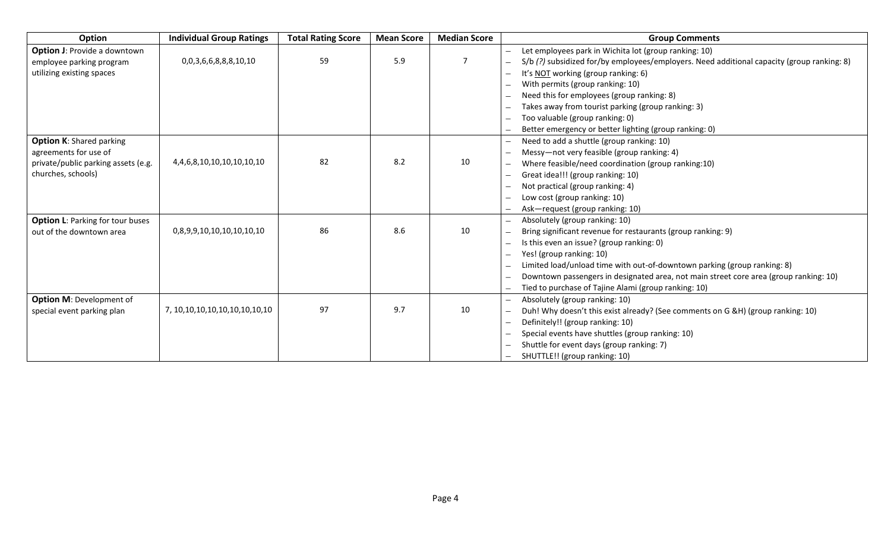| Option                                  | <b>Individual Group Ratings</b>       | <b>Total Rating Score</b> | <b>Mean Score</b> | <b>Median Score</b> | <b>Group Comments</b>                                                                      |
|-----------------------------------------|---------------------------------------|---------------------------|-------------------|---------------------|--------------------------------------------------------------------------------------------|
| <b>Option J: Provide a downtown</b>     |                                       |                           |                   |                     | Let employees park in Wichita lot (group ranking: 10)                                      |
| employee parking program                | 0,0,3,6,6,8,8,8,10,10                 | 59                        | 5.9               | $\overline{7}$      | S/b (?) subsidized for/by employees/employers. Need additional capacity (group ranking: 8) |
| utilizing existing spaces               |                                       |                           |                   |                     | It's NOT working (group ranking: 6)                                                        |
|                                         |                                       |                           |                   |                     | With permits (group ranking: 10)                                                           |
|                                         |                                       |                           |                   |                     | Need this for employees (group ranking: 8)                                                 |
|                                         |                                       |                           |                   |                     | Takes away from tourist parking (group ranking: 3)                                         |
|                                         |                                       |                           |                   |                     | Too valuable (group ranking: 0)                                                            |
|                                         |                                       |                           |                   |                     | Better emergency or better lighting (group ranking: 0)                                     |
| <b>Option K: Shared parking</b>         |                                       |                           |                   |                     | Need to add a shuttle (group ranking: 10)                                                  |
| agreements for use of                   |                                       |                           |                   |                     | Messy-not very feasible (group ranking: 4)                                                 |
| private/public parking assets (e.g.     | 4, 4, 6, 8, 10, 10, 10, 10, 10, 10    | 82                        | 8.2               | 10                  | Where feasible/need coordination (group ranking:10)                                        |
| churches, schools)                      |                                       |                           |                   |                     | Great idea!!! (group ranking: 10)                                                          |
|                                         |                                       |                           |                   |                     | Not practical (group ranking: 4)                                                           |
|                                         |                                       |                           |                   |                     | Low cost (group ranking: 10)                                                               |
|                                         |                                       |                           |                   |                     | Ask-request (group ranking: 10)                                                            |
| <b>Option L: Parking for tour buses</b> |                                       |                           |                   |                     | Absolutely (group ranking: 10)                                                             |
| out of the downtown area                | 0,8,9,9,10,10,10,10,10,10             | 86                        | 8.6               | 10                  | Bring significant revenue for restaurants (group ranking: 9)                               |
|                                         |                                       |                           |                   |                     | Is this even an issue? (group ranking: 0)                                                  |
|                                         |                                       |                           |                   |                     | Yes! (group ranking: 10)                                                                   |
|                                         |                                       |                           |                   |                     | Limited load/unload time with out-of-downtown parking (group ranking: 8)                   |
|                                         |                                       |                           |                   |                     | Downtown passengers in designated area, not main street core area (group ranking: 10)      |
|                                         |                                       |                           |                   |                     | Tied to purchase of Tajine Alami (group ranking: 10)                                       |
| <b>Option M: Development of</b>         |                                       |                           |                   |                     | Absolutely (group ranking: 10)                                                             |
| special event parking plan              | 7, 10, 10, 10, 10, 10, 10, 10, 10, 10 | 97                        | 9.7               | 10                  | Duh! Why doesn't this exist already? (See comments on G &H) (group ranking: 10)            |
|                                         |                                       |                           |                   |                     | Definitely!! (group ranking: 10)                                                           |
|                                         |                                       |                           |                   |                     | Special events have shuttles (group ranking: 10)                                           |
|                                         |                                       |                           |                   |                     | Shuttle for event days (group ranking: 7)                                                  |
|                                         |                                       |                           |                   |                     | SHUTTLE!! (group ranking: 10)                                                              |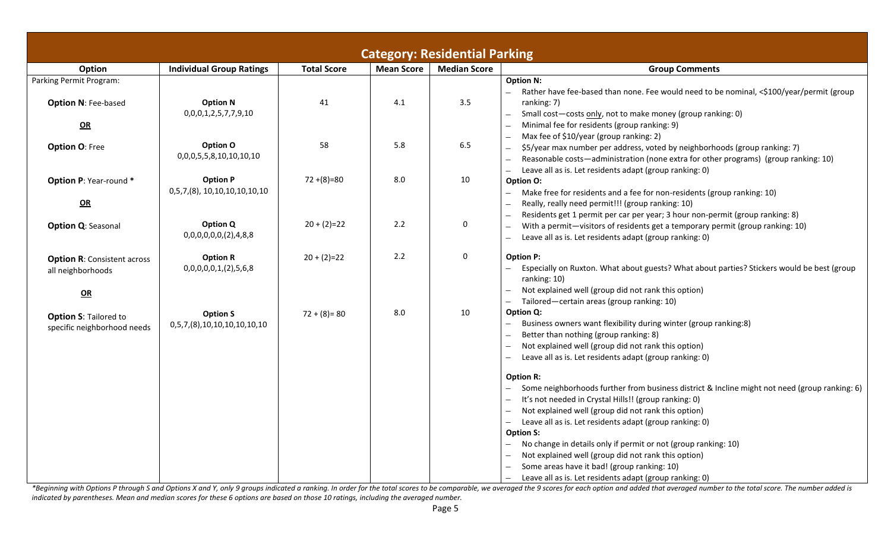|                                                               |                                                 |                    |                   | <b>Category: Residential Parking</b> |                                                                                                                                                                                                                                                                                                                                                                                                                                                                                                                                                     |
|---------------------------------------------------------------|-------------------------------------------------|--------------------|-------------------|--------------------------------------|-----------------------------------------------------------------------------------------------------------------------------------------------------------------------------------------------------------------------------------------------------------------------------------------------------------------------------------------------------------------------------------------------------------------------------------------------------------------------------------------------------------------------------------------------------|
| Option                                                        | <b>Individual Group Ratings</b>                 | <b>Total Score</b> | <b>Mean Score</b> | <b>Median Score</b>                  | <b>Group Comments</b>                                                                                                                                                                                                                                                                                                                                                                                                                                                                                                                               |
| Parking Permit Program:<br><b>Option N: Fee-based</b>         | <b>Option N</b>                                 | 41                 | 4.1               | 3.5                                  | <b>Option N:</b><br>Rather have fee-based than none. Fee would need to be nominal, <\$100/year/permit (group<br>ranking: 7)                                                                                                                                                                                                                                                                                                                                                                                                                         |
| QR                                                            | 0,0,0,1,2,5,7,7,9,10                            |                    |                   |                                      | Small cost-costs only, not to make money (group ranking: 0)<br>Minimal fee for residents (group ranking: 9)                                                                                                                                                                                                                                                                                                                                                                                                                                         |
| <b>Option O: Free</b>                                         | Option O<br>0,0,0,5,5,8,10,10,10,10             | 58                 | 5.8               | 6.5                                  | Max fee of \$10/year (group ranking: 2)<br>\$5/year max number per address, voted by neighborhoods (group ranking: 7)<br>Reasonable costs-administration (none extra for other programs) (group ranking: 10)<br>Leave all as is. Let residents adapt (group ranking: 0)                                                                                                                                                                                                                                                                             |
| Option P: Year-round *<br>$\Omega$                            | <b>Option P</b><br>0,5,7,(8), 10,10,10,10,10,10 | $72+(8)=80$        | 8.0               | 10                                   | Option O:<br>Make free for residents and a fee for non-residents (group ranking: 10)<br>Really, really need permit!!! (group ranking: 10)                                                                                                                                                                                                                                                                                                                                                                                                           |
| <b>Option Q: Seasonal</b>                                     | <b>Option Q</b><br>0,0,0,0,0,0,(2),4,8,8        | $20 + (2)=22$      | 2.2               | 0                                    | Residents get 1 permit per car per year; 3 hour non-permit (group ranking: 8)<br>With a permit-visitors of residents get a temporary permit (group ranking: 10)<br>Leave all as is. Let residents adapt (group ranking: 0)                                                                                                                                                                                                                                                                                                                          |
| <b>Option R: Consistent across</b><br>all neighborhoods<br>QR | <b>Option R</b><br>0,0,0,0,0,1,(2),5,6,8        | $20 + (2)=22$      | 2.2               | 0                                    | <b>Option P:</b><br>Especially on Ruxton. What about guests? What about parties? Stickers would be best (group<br>ranking: 10)<br>Not explained well (group did not rank this option)<br>Tailored-certain areas (group ranking: 10)                                                                                                                                                                                                                                                                                                                 |
| <b>Option S: Tailored to</b><br>specific neighborhood needs   | <b>Option S</b><br>0,5,7,(8),10,10,10,10,10,10  | $72 + (8) = 80$    | 8.0               | 10                                   | Option Q:<br>Business owners want flexibility during winter (group ranking:8)<br>Better than nothing (group ranking: 8)<br>Not explained well (group did not rank this option)<br>Leave all as is. Let residents adapt (group ranking: 0)<br>$\overline{\phantom{0}}$                                                                                                                                                                                                                                                                               |
|                                                               |                                                 |                    |                   |                                      | <b>Option R:</b><br>Some neighborhoods further from business district & Incline might not need (group ranking: 6)<br>It's not needed in Crystal Hills!! (group ranking: 0)<br>Not explained well (group did not rank this option)<br>Leave all as is. Let residents adapt (group ranking: 0)<br><b>Option S:</b><br>No change in details only if permit or not (group ranking: 10)<br>Not explained well (group did not rank this option)<br>Some areas have it bad! (group ranking: 10)<br>Leave all as is. Let residents adapt (group ranking: 0) |

\*Beginning with Options P through S and Options X and Y, only 9 groups indicated a ranking. In order for the total scores to be comparable, we averaged the 9 scores for each option and added that averaged number to the tot *indicated by parentheses. Mean and median scores for these 6 options are based on those 10 ratings, including the averaged number.*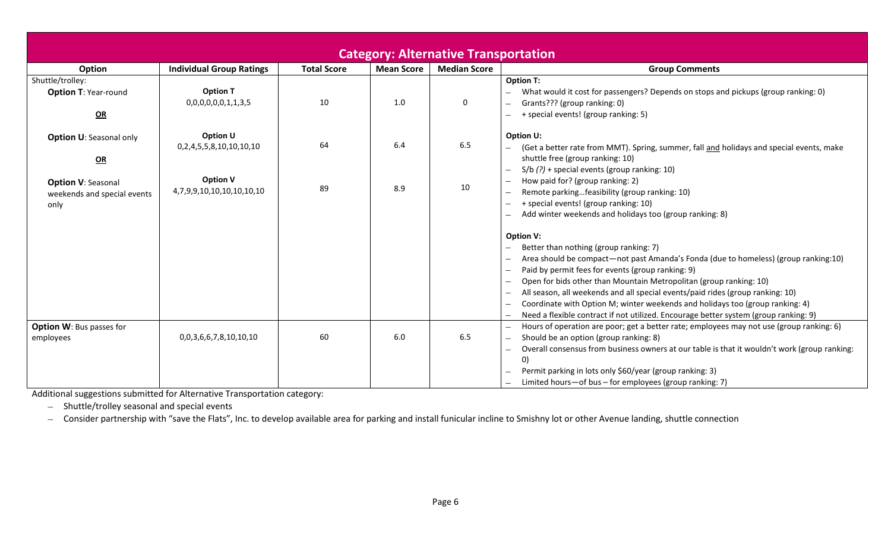|                                                                  |                                              |                    |                   | <b>Category: Alternative Transportation</b> |                                                                                                                                                                                                                                                                                                                                                                                                                                                                                                                                         |
|------------------------------------------------------------------|----------------------------------------------|--------------------|-------------------|---------------------------------------------|-----------------------------------------------------------------------------------------------------------------------------------------------------------------------------------------------------------------------------------------------------------------------------------------------------------------------------------------------------------------------------------------------------------------------------------------------------------------------------------------------------------------------------------------|
| Option                                                           | <b>Individual Group Ratings</b>              | <b>Total Score</b> | <b>Mean Score</b> | <b>Median Score</b>                         | <b>Group Comments</b>                                                                                                                                                                                                                                                                                                                                                                                                                                                                                                                   |
| Shuttle/trolley:<br><b>Option T: Year-round</b><br>QR            | <b>Option T</b><br>0,0,0,0,0,0,1,1,3,5       | 10                 | 1.0               | 0                                           | <b>Option T:</b><br>What would it cost for passengers? Depends on stops and pickups (group ranking: 0)<br>Grants??? (group ranking: 0)<br>+ special events! (group ranking: 5)                                                                                                                                                                                                                                                                                                                                                          |
| <b>Option U: Seasonal only</b><br>QR                             | Option U<br>0,2,4,5,5,8,10,10,10,10          | 64                 | 6.4               | 6.5                                         | <b>Option U:</b><br>(Get a better rate from MMT). Spring, summer, fall and holidays and special events, make<br>shuttle free (group ranking: 10)<br>$S/b$ (?) + special events (group ranking: 10)                                                                                                                                                                                                                                                                                                                                      |
| <b>Option V: Seasonal</b><br>weekends and special events<br>only | <b>Option V</b><br>4,7,9,9,10,10,10,10,10,10 | 89                 | 8.9               | 10                                          | How paid for? (group ranking: 2)<br>Remote parkingfeasibility (group ranking: 10)<br>+ special events! (group ranking: 10)<br>Add winter weekends and holidays too (group ranking: 8)                                                                                                                                                                                                                                                                                                                                                   |
|                                                                  |                                              |                    |                   |                                             | <b>Option V:</b><br>Better than nothing (group ranking: 7)<br>Area should be compact—not past Amanda's Fonda (due to homeless) (group ranking:10)<br>Paid by permit fees for events (group ranking: 9)<br>Open for bids other than Mountain Metropolitan (group ranking: 10)<br>All season, all weekends and all special events/paid rides (group ranking: 10)<br>Coordinate with Option M; winter weekends and holidays too (group ranking: 4)<br>Need a flexible contract if not utilized. Encourage better system (group ranking: 9) |
| <b>Option W: Bus passes for</b><br>employees                     | 0,0,3,6,6,7,8,10,10,10                       | 60                 | 6.0               | 6.5                                         | Hours of operation are poor; get a better rate; employees may not use (group ranking: 6)<br>Should be an option (group ranking: 8)<br>Overall consensus from business owners at our table is that it wouldn't work (group ranking:<br>$\left( 0\right)$<br>Permit parking in lots only \$60/year (group ranking: 3)<br>Limited hours-of bus - for employees (group ranking: 7)                                                                                                                                                          |

Additional suggestions submitted for Alternative Transportation category:

- Shuttle/trolley seasonal and special events

- Consider partnership with "save the Flats", Inc. to develop available area for parking and install funicular incline to Smishny lot or other Avenue landing, shuttle connection